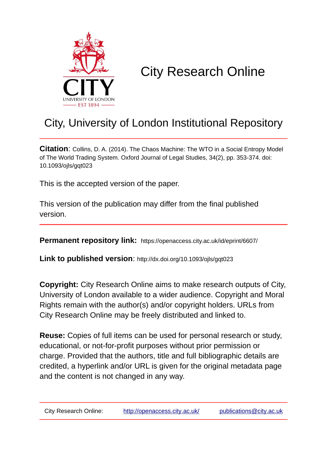

# City Research Online

## City, University of London Institutional Repository

**Citation**: Collins, D. A. (2014). The Chaos Machine: The WTO in a Social Entropy Model of The World Trading System. Oxford Journal of Legal Studies, 34(2), pp. 353-374. doi: 10.1093/ojls/gqt023

This is the accepted version of the paper.

This version of the publication may differ from the final published version.

**Permanent repository link:** https://openaccess.city.ac.uk/id/eprint/6607/

**Link to published version**: http://dx.doi.org/10.1093/ojls/gqt023

**Copyright:** City Research Online aims to make research outputs of City, University of London available to a wider audience. Copyright and Moral Rights remain with the author(s) and/or copyright holders. URLs from City Research Online may be freely distributed and linked to.

**Reuse:** Copies of full items can be used for personal research or study, educational, or not-for-profit purposes without prior permission or charge. Provided that the authors, title and full bibliographic details are credited, a hyperlink and/or URL is given for the original metadata page and the content is not changed in any way.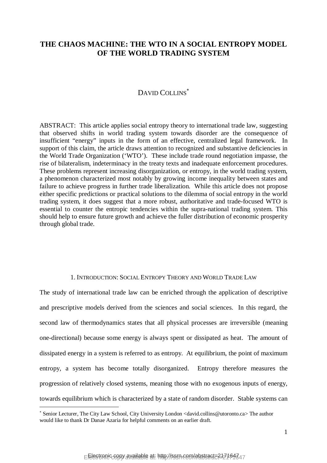### **THE CHAOS MACHINE: THE WTO IN A SOCIAL ENTROPY MODEL OF THE WORLD TRADING SYSTEM**

## DAVID COLLINS<sup>\*</sup>

ABSTRACT: This article applies social entropy theory to international trade law, suggesting that observed shifts in world trading system towards disorder are the consequence of insufficient "energy" inputs in the form of an effective, centralized legal framework. In support of this claim, the article draws attention to recognized and substantive deficiencies in the World Trade Organization ('WTO'). These include trade round negotiation impasse, the rise of bilateralism, indeterminacy in the treaty texts and inadequate enforcement procedures. These problems represent increasing disorganization, or entropy, in the world trading system, a phenomenon characterized most notably by growing income inequality between states and failure to achieve progress in further trade liberalization. While this article does not propose either specific predictions or practical solutions to the dilemma of social entropy in the world trading system, it does suggest that a more robust, authoritative and trade-focused WTO is essential to counter the entropic tendencies within the supra-national trading system. This should help to ensure future growth and achieve the fuller distribution of economic prosperity through global trade.

#### 1. INTRODUCTION: SOCIAL ENTROPY THEORY AND WORLD TRADE LAW

The study of international trade law can be enriched through the application of descriptive and prescriptive models derived from the sciences and social sciences. In this regard, the second law of thermodynamics states that all physical processes are irreversible (meaning one-directional) because some energy is always spent or dissipated as heat. The amount of dissipated energy in a system is referred to as entropy. At equilibrium, the point of maximum entropy, a system has become totally disorganized. Entropy therefore measures the progression of relatively closed systems, meaning those with no exogenous inputs of energy, towards equilibrium which is characterized by a state of random disorder. Stable systems can

Senior Lecturer, The City Law School, City University London <david.collins@utoronto.ca> The author would like to thank Dr Danae Azaria for helpful comments on an earlier draft.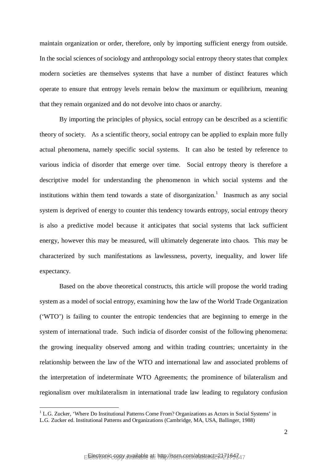maintain organization or order, therefore, only by importing sufficient energy from outside. In the social sciences of sociology and anthropology social entropy theory states that complex modern societies are themselves systems that have a number of distinct features which operate to ensure that entropy levels remain below the maximum or equilibrium, meaning that they remain organized and do not devolve into chaos or anarchy.

By importing the principles of physics, social entropy can be described as a scientific theory of society. As a scientific theory, social entropy can be applied to explain more fully actual phenomena, namely specific social systems. It can also be tested by reference to various indicia of disorder that emerge over time. Social entropy theory is therefore a descriptive model for understanding the phenomenon in which social systems and the institutions within them tend towards a state of disorganization.<sup>1</sup> Inasmuch as any social system is deprived of energy to counter this tendency towards entropy, social entropy theory is also a predictive model because it anticipates that social systems that lack sufficient energy, however this may be measured, will ultimately degenerate into chaos. This may be characterized by such manifestations as lawlessness, poverty, inequality, and lower life expectancy.

Based on the above theoretical constructs, this article will propose the world trading system as a model of social entropy, examining how the law of the World Trade Organization ('WTO') is failing to counter the entropic tendencies that are beginning to emerge in the system of international trade. Such indicia of disorder consist of the following phenomena: the growing inequality observed among and within trading countries; uncertainty in the relationship between the law of the WTO and international law and associated problems of the interpretation of indeterminate WTO Agreements; the prominence of bilateralism and regionalism over multilateralism in international trade law leading to regulatory confusion

<sup>&</sup>lt;sup>1</sup> L.G. Zucker, 'Where Do Institutional Patterns Come From? Organizations as Actors in Social Systems' in L.G. Zucker ed. Institutional Patterns and Organizations (Cambridge, MA, USA, Ballinger, 1988)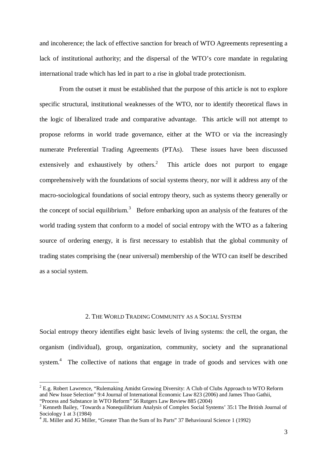and incoherence; the lack of effective sanction for breach of WTO Agreements representing a lack of institutional authority; and the dispersal of the WTO's core mandate in regulating international trade which has led in part to a rise in global trade protectionism.

From the outset it must be established that the purpose of this article is not to explore specific structural, institutional weaknesses of the WTO, nor to identify theoretical flaws in the logic of liberalized trade and comparative advantage. This article will not attempt to propose reforms in world trade governance, either at the WTO or via the increasingly numerate Preferential Trading Agreements (PTAs). These issues have been discussed extensively and exhaustively by others.<sup>2</sup> This article does not purport to engage comprehensively with the foundations of social systems theory, nor will it address any of the macro-sociological foundations of social entropy theory, such as systems theory generally or the concept of social equilibrium.<sup>3</sup> Before embarking upon an analysis of the features of the world trading system that conform to a model of social entropy with the WTO as a faltering source of ordering energy, it is first necessary to establish that the global community of trading states comprising the (near universal) membership of the WTO can itself be described as a social system.

#### 2. THE WORLD TRADING COMMUNITY AS A SOCIAL SYSTEM

Social entropy theory identifies eight basic levels of living systems: the cell, the organ, the organism (individual), group, organization, community, society and the supranational system.<sup>4</sup> The collective of nations that engage in trade of goods and services with one

 $2^{2}$  E.g. Robert Lawrence, "Rulemaking Amidst Growing Diversity: A Club of Clubs Approach to WTO Reform and New Issue Selection" 9:4 Journal of International Economic Law 823 (2006) and James Thuo Gathii, "Process and Substance in WTO Reform" 56 Rutgers Law Review 885 (2004)

<sup>&</sup>lt;sup>3</sup> Kenneth Bailey, 'Towards a Nonequilibrium Analysis of Complex Social Systems' 35:1 The British Journal of Sociology 1 at 3 (1984) 4 JL Miller and JG Miller, "Greater Than the Sum of Its Parts" 37 Behavioural Science 1 (1992)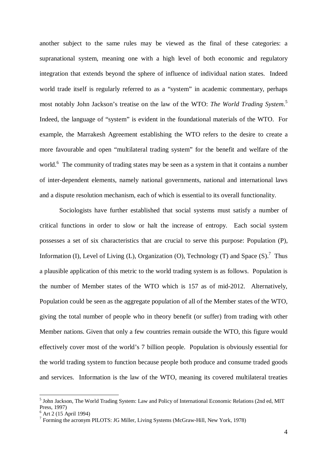another subject to the same rules may be viewed as the final of these categories: a supranational system, meaning one with a high level of both economic and regulatory integration that extends beyond the sphere of influence of individual nation states. Indeed world trade itself is regularly referred to as a "system" in academic commentary, perhaps most notably John Jackson's treatise on the law of the WTO: *The World Trading System*. 5 Indeed, the language of "system" is evident in the foundational materials of the WTO. For example, the Marrakesh Agreement establishing the WTO refers to the desire to create a more favourable and open "multilateral trading system" for the benefit and welfare of the world.<sup>6</sup> The community of trading states may be seen as a system in that it contains a number of inter-dependent elements, namely national governments, national and international laws and a dispute resolution mechanism, each of which is essential to its overall functionality.

Sociologists have further established that social systems must satisfy a number of critical functions in order to slow or halt the increase of entropy. Each social system possesses a set of six characteristics that are crucial to serve this purpose: Population (P), Information (I), Level of Living (L), Organization (O), Technology (T) and Space  $(S)$ .<sup>7</sup> Thus a plausible application of this metric to the world trading system is as follows. Population is the number of Member states of the WTO which is 157 as of mid-2012. Alternatively, Population could be seen as the aggregate population of all of the Member states of the WTO, giving the total number of people who in theory benefit (or suffer) from trading with other Member nations. Given that only a few countries remain outside the WTO, this figure would effectively cover most of the world's 7 billion people. Population is obviously essential for the world trading system to function because people both produce and consume traded goods and services. Information is the law of the WTO, meaning its covered multilateral treaties

<sup>&</sup>lt;sup>5</sup> John Jackson, The World Trading System: Law and Policy of International Economic Relations (2nd ed, MIT Press, 1997)

 $6$  Art 2 (15 April 1994)

<sup>&</sup>lt;sup>7</sup> Forming the acronym PILOTS: JG Miller, Living Systems (McGraw-Hill, New York, 1978)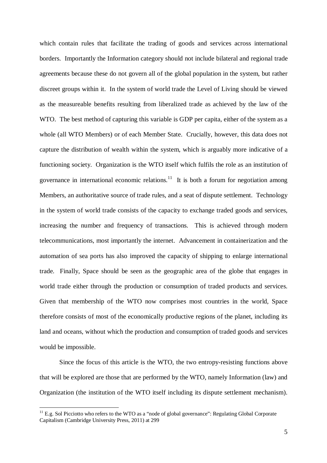which contain rules that facilitate the trading of goods and services across international borders. Importantly the Information category should not include bilateral and regional trade agreements because these do not govern all of the global population in the system, but rather discreet groups within it. In the system of world trade the Level of Living should be viewed as the measureable benefits resulting from liberalized trade as achieved by the law of the WTO. The best method of capturing this variable is GDP per capita, either of the system as a whole (all WTO Members) or of each Member State. Crucially, however, this data does not capture the distribution of wealth within the system, which is arguably more indicative of a functioning society. Organization is the WTO itself which fulfils the role as an institution of governance in international economic relations.<sup>11</sup> It is both a forum for negotiation among Members, an authoritative source of trade rules, and a seat of dispute settlement. Technology in the system of world trade consists of the capacity to exchange traded goods and services, increasing the number and frequency of transactions. This is achieved through modern telecommunications, most importantly the internet. Advancement in containerization and the automation of sea ports has also improved the capacity of shipping to enlarge international trade. Finally, Space should be seen as the geographic area of the globe that engages in world trade either through the production or consumption of traded products and services. Given that membership of the WTO now comprises most countries in the world, Space therefore consists of most of the economically productive regions of the planet, including its land and oceans, without which the production and consumption of traded goods and services would be impossible.

Since the focus of this article is the WTO, the two entropy-resisting functions above that will be explored are those that are performed by the WTO, namely Information (law) and Organization (the institution of the WTO itself including its dispute settlement mechanism).

 $11$  E.g. Sol Picciotto who refers to the WTO as a "node of global governance": Regulating Global Corporate Capitalism (Cambridge University Press, 2011) at 299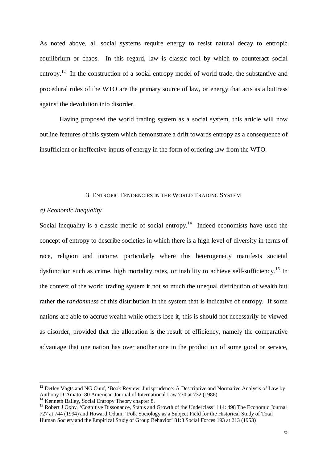As noted above, all social systems require energy to resist natural decay to entropic equilibrium or chaos. In this regard, law is classic tool by which to counteract social entropy.<sup>12</sup> In the construction of a social entropy model of world trade, the substantive and procedural rules of the WTO are the primary source of law, or energy that acts as a buttress against the devolution into disorder.

Having proposed the world trading system as a social system, this article will now outline features of this system which demonstrate a drift towards entropy as a consequence of insufficient or ineffective inputs of energy in the form of ordering law from the WTO.

#### 3. ENTROPIC TENDENCIES IN THE WORLD TRADING SYSTEM

#### *a) Economic Inequality*

Social inequality is a classic metric of social entropy.<sup>14</sup> Indeed economists have used the concept of entropy to describe societies in which there is a high level of diversity in terms of race, religion and income, particularly where this heterogeneity manifests societal dysfunction such as crime, high mortality rates, or inability to achieve self-sufficiency.<sup>15</sup> In the context of the world trading system it not so much the unequal distribution of wealth but rather the *randomness* of this distribution in the system that is indicative of entropy. If some nations are able to accrue wealth while others lose it, this is should not necessarily be viewed as disorder, provided that the allocation is the result of efficiency, namely the comparative advantage that one nation has over another one in the production of some good or service,

<sup>&</sup>lt;sup>12</sup> Detlev Vagts and NG Onuf, 'Book Review: Jurisprudence: A Descriptive and Normative Analysis of Law by Anthony D'Amato' 80 American Journal of International Law 730 at 732 (1986)

<sup>&</sup>lt;sup>14</sup> Kenneth Bailey, Social Entropy Theory chapter 8.

<sup>15</sup> Robert J Oxby, 'Cognitive Dissonance, Status and Growth of the Underclass' 114: 498 The Economic Journal 727 at 744 (1994) and Howard Odum, 'Folk Sociology as a Subject Field for the Historical Study of Total Human Society and the Empirical Study of Group Behavior' 31:3 Social Forces 193 at 213 (1953)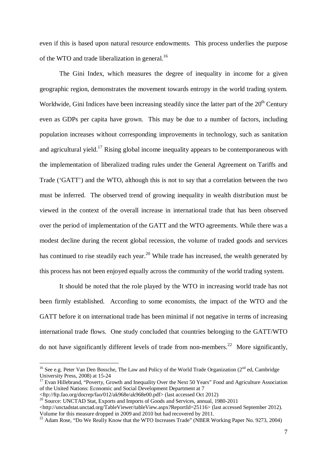even if this is based upon natural resource endowments. This process underlies the purpose of the WTO and trade liberalization in general.<sup>16</sup>

The Gini Index, which measures the degree of inequality in income for a given geographic region, demonstrates the movement towards entropy in the world trading system. Worldwide, Gini Indices have been increasing steadily since the latter part of the  $20<sup>th</sup>$  Century even as GDPs per capita have grown. This may be due to a number of factors, including population increases without corresponding improvements in technology, such as sanitation and agricultural yield.<sup>17</sup> Rising global income inequality appears to be contemporaneous with the implementation of liberalized trading rules under the General Agreement on Tariffs and Trade ('GATT') and the WTO, although this is not to say that a correlation between the two must be inferred. The observed trend of growing inequality in wealth distribution must be viewed in the context of the overall increase in international trade that has been observed over the period of implementation of the GATT and the WTO agreements. While there was a modest decline during the recent global recession, the volume of traded goods and services has continued to rise steadily each year.<sup>20</sup> While trade has increased, the wealth generated by this process has not been enjoyed equally across the community of the world trading system.

It should be noted that the role played by the WTO in increasing world trade has not been firmly established. According to some economists, the impact of the WTO and the GATT before it on international trade has been minimal if not negative in terms of increasing international trade flows. One study concluded that countries belonging to the GATT/WTO do not have significantly different levels of trade from non-members.<sup>22</sup> More significantly,

<sup>&</sup>lt;sup>16</sup> See e.g. Peter Van Den Bossche, The Law and Policy of the World Trade Organization (2<sup>nd</sup> ed, Cambridge University Press, 2008) at 15-24

<sup>&</sup>lt;sup>17</sup> Evan Hillebrand, "Poverty, Growth and Inequality Over the Next 50 Years" Food and Agriculture Association of the United Nations: Economic and Social Development Department at 7

<sup>&</sup>lt;ftp://ftp.fao.org/docrep/fao/012/ak968e/ak968e00.pdf> (last accessed Oct 2012)

<sup>&</sup>lt;sup>20</sup> Source: UNCTAD Stat, Exports and Imports of Goods and Services, annual, 1980-2011

<sup>&</sup>lt;http://unctadstat.unctad.org/TableViewer/tableView.aspx?ReportId=25116> (last accessed September 2012). Volume for this measure dropped in 2009 and 2010 but had recovered by 2011.

<sup>&</sup>lt;sup>22</sup> Adam Rose, "Do We Really Know that the WTO Increases Trade" (NBER Working Paper No. 9273, 2004)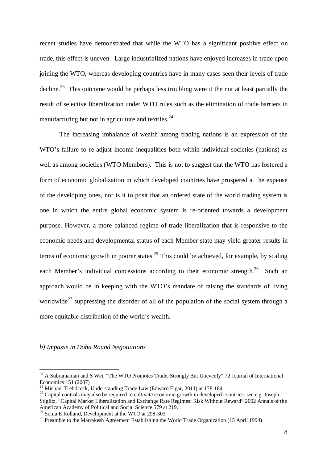recent studies have demonstrated that while the WTO has a significant positive effect on trade, this effect is uneven. Large industrialized nations have enjoyed increases in trade upon joining the WTO, whereas developing countries have in many cases seen their levels of trade decline.<sup>23</sup> This outcome would be perhaps less troubling were it the not at least partially the result of selective liberalization under WTO rules such as the elimination of trade barriers in manufacturing but not in agriculture and textiles. $^{24}$ 

The increasing imbalance of wealth among trading nations is an expression of the WTO's failure to re-adjust income inequalities both within individual societies (nations) as well as among societies (WTO Members). This is not to suggest that the WTO has fostered a form of economic globalization in which developed countries have prospered at the expense of the developing ones, nor is it to posit that an ordered state of the world trading system is one in which the entire global economic system is re-oriented towards a development purpose. However, a more balanced regime of trade liberalization that is responsive to the economic needs and developmental status of each Member state may yield greater results in terms of economic growth in poorer states.<sup>25</sup> This could be achieved, for example, by scaling each Member's individual concessions according to their economic strength.<sup>26</sup> Such an approach would be in keeping with the WTO's mandate of raising the standards of living worldwide<sup>27</sup> suppressing the disorder of all of the population of the social system through a more equitable distribution of the world's wealth.

*b) Impasse in Doha Round Negotiations*

<sup>&</sup>lt;sup>23</sup> A Subramanian and S Wei, "The WTO Promotes Trade, Strongly But Unevenly" 72 Journal of International Economics 151 (2007)

<sup>&</sup>lt;sup>24</sup> Michael Trebilcock, Understanding Trade Law (Edward Elgar, 2011) at 178-184

<sup>&</sup>lt;sup>25</sup> Capital controls may also be required to cultivate economic growth in developed countries: see e.g. Joseph Stiglitz, "Capital Market Liberalization and Exchange Rate Regimes: Risk Without Reward" 2002 Annals of the American Academy of Political and Social Science 579 at 219.

<sup>26</sup> Sonia E Rolland, Development at the WTO at 298-303

<sup>&</sup>lt;sup>27</sup> Preamble to the Marrakesh Agreement Establishing the World Trade Organization (15 April 1994)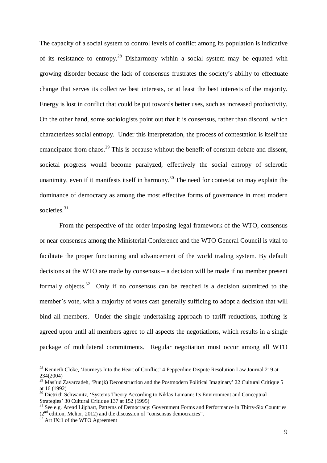The capacity of a social system to control levels of conflict among its population is indicative of its resistance to entropy.<sup>28</sup> Disharmony within a social system may be equated with growing disorder because the lack of consensus frustrates the society's ability to effectuate change that serves its collective best interests, or at least the best interests of the majority. Energy is lost in conflict that could be put towards better uses, such as increased productivity. On the other hand, some sociologists point out that it is consensus, rather than discord, which characterizes social entropy. Under this interpretation, the process of contestation is itself the emancipator from chaos.<sup>29</sup> This is because without the benefit of constant debate and dissent, societal progress would become paralyzed, effectively the social entropy of sclerotic unanimity, even if it manifests itself in harmony.<sup>30</sup> The need for contestation may explain the dominance of democracy as among the most effective forms of governance in most modern societies.<sup>31</sup>

From the perspective of the order-imposing legal framework of the WTO, consensus or near consensus among the Ministerial Conference and the WTO General Council is vital to facilitate the proper functioning and advancement of the world trading system. By default decisions at the WTO are made by consensus – a decision will be made if no member present formally objects.<sup>32</sup> Only if no consensus can be reached is a decision submitted to the member's vote, with a majority of votes cast generally sufficing to adopt a decision that will bind all members. Under the single undertaking approach to tariff reductions, nothing is agreed upon until all members agree to all aspects the negotiations, which results in a single package of multilateral commitments. Regular negotiation must occur among all WTO

<sup>&</sup>lt;sup>28</sup> Kenneth Cloke, 'Journeys Into the Heart of Conflict' 4 Pepperdine Dispute Resolution Law Journal 219 at 234(2004)

<sup>&</sup>lt;sup>29</sup> Mas'ud Zavarzadeh, 'Pun(k) Deconstruction and the Postmodern Political Imaginary' 22 Cultural Critique 5 at 16 (1992)

<sup>&</sup>lt;sup>30</sup> Dietrich Schwanitz, 'Systems Theory According to Niklas Lumann: Its Environment and Conceptual Strategies' 30 Cultural Critique 137 at 152 (1995)

<sup>&</sup>lt;sup>31</sup> See e.g. Arend Lijphart, Patterns of Democracy: Government Forms and Performance in Thirty-Six Countries  $(2<sup>nd</sup>$  edition, Melior, 2012) and the discussion of "consensus democracies".

 $32$  Art IX:1 of the WTO Agreement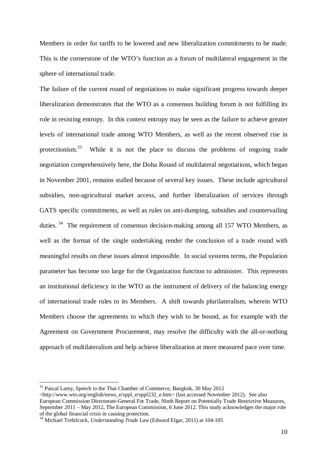Members in order for tariffs to be lowered and new liberalization commitments to be made. This is the cornerstone of the WTO's function as a forum of multilateral engagement in the sphere of international trade.

The failure of the current round of negotiations to make significant progress towards deeper liberalization demonstrates that the WTO as a consensus building forum is not fulfilling its role in resisting entropy. In this context entropy may be seen as the failure to achieve greater levels of international trade among WTO Members, as well as the recent observed rise in protectionism.<sup>33</sup> While it is not the place to discuss the problems of ongoing trade negotiation comprehensively here, the Doha Round of multilateral negotiations, which began in November 2001, remains stalled because of several key issues. These include agricultural subsidies, non-agricultural market access, and further liberalization of services through GATS specific commitments, as well as rules on anti-dumping, subsidies and countervailing duties.<sup>34</sup> The requirement of consensus decision-making among all 157 WTO Members, as well as the format of the single undertaking render the conclusion of a trade round with meaningful results on these issues almost impossible. In social systems terms, the Population parameter has become too large for the Organization function to administer. This represents an institutional deficiency in the WTO as the instrument of delivery of the balancing energy of international trade rules to its Members. A shift towards plurilateralism, wherein WTO Members choose the agreements to which they wish to be bound, as for example with the Agreement on Government Procurement, may resolve the difficulty with the all-or-nothing approach of multilateralism and help achieve liberalization at more measured pace over time.

<sup>&</sup>lt;sup>33</sup> Pascal Lamy, Speech to the Thai Chamber of Commerce, Bangkok, 30 May 2012

 $\langle$ http://www.wto.org/english/news\_e/sppl\_e/sppl232\_e.htm> (last accessed November 2012). See also European Commission Directorate-General For Trade, Ninth Report on Potentially Trade Restrictive Measures, September 2011 – May 2012, The European Commission, 6 June 2012. This study acknowledges the major role of the global financial crisis in causing protection.

<sup>&</sup>lt;sup>34</sup> Michael Trebilcock, *Understanding Trade Law* (Edward Elgar, 2011) at 104-105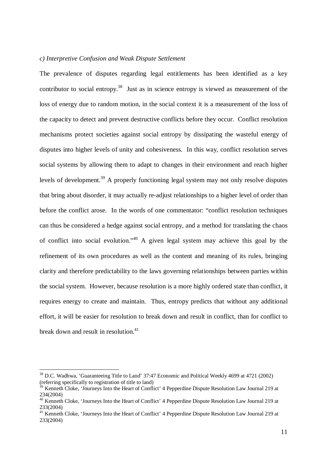#### *c) Interpretive Confusion and Weak Dispute Settlement*

The prevalence of disputes regarding legal entitlements has been identified as a key contributor to social entropy.<sup>38</sup> Just as in science entropy is viewed as measurement of the loss of energy due to random motion, in the social context it is a measurement of the loss of the capacity to detect and prevent destructive conflicts before they occur. Conflict resolution mechanisms protect societies against social entropy by dissipating the wasteful energy of disputes into higher levels of unity and cohesiveness. In this way, conflict resolution serves social systems by allowing them to adapt to changes in their environment and reach higher levels of development.<sup>39</sup> A properly functioning legal system may not only resolve disputes that bring about disorder, it may actually re-adjust relationships to a higher level of order than before the conflict arose. In the words of one commentator: "conflict resolution techniques can thus be considered a hedge against social entropy, and a method for translating the chaos of conflict into social evolution."<sup>40</sup> A given legal system may achieve this goal by the refinement of its own procedures as well as the content and meaning of its rules, bringing clarity and therefore predictability to the laws governing relationships between parties within the social system. However, because resolution is a more highly ordered state than conflict, it requires energy to create and maintain. Thus, entropy predicts that without any additional effort, it will be easier for resolution to break down and result in conflict, than for conflict to break down and result in resolution.<sup>41</sup>

<sup>&</sup>lt;sup>38</sup> D.C. Wadhwa, 'Guaranteeing Title to Land' 37:47 Economic and Political Weekly 4699 at 4721 (2002) (referring specifically to registration of title to land)

<sup>39</sup> Kenneth Cloke, 'Journeys Into the Heart of Conflict' 4 Pepperdine Dispute Resolution Law Journal 219 at 234(2004)

<sup>40</sup> Kenneth Cloke, 'Journeys Into the Heart of Conflict' 4 Pepperdine Dispute Resolution Law Journal 219 at 233(2004)

<sup>&</sup>lt;sup>41</sup> Kenneth Cloke, 'Journeys Into the Heart of Conflict' 4 Pepperdine Dispute Resolution Law Journal 219 at 233(2004)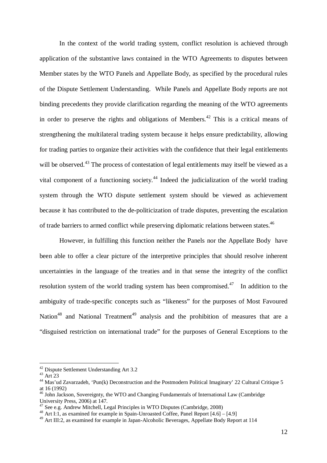In the context of the world trading system, conflict resolution is achieved through application of the substantive laws contained in the WTO Agreements to disputes between Member states by the WTO Panels and Appellate Body, as specified by the procedural rules of the Dispute Settlement Understanding. While Panels and Appellate Body reports are not binding precedents they provide clarification regarding the meaning of the WTO agreements in order to preserve the rights and obligations of Members. <sup>42</sup> This is a critical means of strengthening the multilateral trading system because it helps ensure predictability, allowing for trading parties to organize their activities with the confidence that their legal entitlements will be observed.<sup>43</sup> The process of contestation of legal entitlements may itself be viewed as a vital component of a functioning society.<sup>44</sup> Indeed the judicialization of the world trading system through the WTO dispute settlement system should be viewed as achievement because it has contributed to the de-politicization of trade disputes, preventing the escalation of trade barriers to armed conflict while preserving diplomatic relations between states.<sup>46</sup>

However, in fulfilling this function neither the Panels nor the Appellate Body have been able to offer a clear picture of the interpretive principles that should resolve inherent uncertainties in the language of the treaties and in that sense the integrity of the conflict resolution system of the world trading system has been compromised.<sup>47</sup> In addition to the ambiguity of trade-specific concepts such as "likeness" for the purposes of Most Favoured Nation<sup>48</sup> and National Treatment<sup>49</sup> analysis and the prohibition of measures that are a "disguised restriction on international trade" for the purposes of General Exceptions to the

<sup>42</sup> Dispute Settlement Understanding Art 3.2

<sup>43</sup> Art 23

<sup>44</sup> Mas'ud Zavarzadeh, 'Pun(k) Deconstruction and the Postmodern Political Imaginary' 22 Cultural Critique 5 at 16 (1992)

<sup>&</sup>lt;sup>46</sup> John Jackson, Sovereignty, the WTO and Changing Fundamentals of International Law (Cambridge University Press, 2006) at 147.

 $47$  See e.g. Andrew Mitchell, Legal Principles in WTO Disputes (Cambridge, 2008)

<sup>48</sup> Art I:1, as examined for example in Spain-Unroasted Coffee, Panel Report [4.6] – [4.9]

<sup>&</sup>lt;sup>49</sup> Art III:2, as examined for example in Japan-Alcoholic Beverages, Appellate Body Report at 114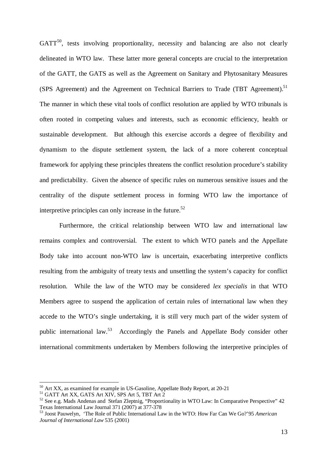$GATT<sup>50</sup>$ , tests involving proportionality, necessity and balancing are also not clearly delineated in WTO law. These latter more general concepts are crucial to the interpretation of the GATT, the GATS as well as the Agreement on Sanitary and Phytosanitary Measures (SPS Agreement) and the Agreement on Technical Barriers to Trade (TBT Agreement).<sup>51</sup> The manner in which these vital tools of conflict resolution are applied by WTO tribunals is often rooted in competing values and interests, such as economic efficiency, health or sustainable development. But although this exercise accords a degree of flexibility and dynamism to the dispute settlement system, the lack of a more coherent conceptual framework for applying these principles threatens the conflict resolution procedure's stability and predictability. Given the absence of specific rules on numerous sensitive issues and the centrality of the dispute settlement process in forming WTO law the importance of interpretive principles can only increase in the future.<sup>52</sup>

Furthermore, the critical relationship between WTO law and international law remains complex and controversial. The extent to which WTO panels and the Appellate Body take into account non-WTO law is uncertain, exacerbating interpretive conflicts resulting from the ambiguity of treaty texts and unsettling the system's capacity for conflict resolution. While the law of the WTO may be considered *lex specialis* in that WTO Members agree to suspend the application of certain rules of international law when they accede to the WTO's single undertaking, it is still very much part of the wider system of public international law.<sup>53</sup> Accordingly the Panels and Appellate Body consider other international commitments undertaken by Members following the interpretive principles of

 $50$  Art XX, as examined for example in US-Gasoline, Appellate Body Report, at 20-21

<sup>51</sup> GATT Art XX, GATS Art XIV, SPS Art 5, TBT Art 2

<sup>&</sup>lt;sup>52</sup> See e.g. Mads Andenas and Stefan Zleptnig, "Proportionality in WTO Law: In Comparative Perspective" 42 Texas International Law Journal 371 (2007) at 377-378

<sup>53</sup> Joost Pauwelyn, 'The Role of Public International Law in the WTO: How Far Can We Go?'95 *American Journal of International Law* 535 (2001)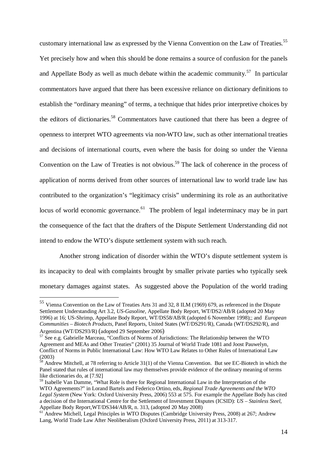customary international law as expressed by the Vienna Convention on the Law of Treaties.<sup>55</sup> Yet precisely how and when this should be done remains a source of confusion for the panels and Appellate Body as well as much debate within the academic community.<sup>57</sup> In particular commentators have argued that there has been excessive reliance on dictionary definitions to establish the "ordinary meaning" of terms, a technique that hides prior interpretive choices by the editors of dictionaries.<sup>58</sup> Commentators have cautioned that there has been a degree of openness to interpret WTO agreements via non-WTO law, such as other international treaties and decisions of international courts, even where the basis for doing so under the Vienna Convention on the Law of Treaties is not obvious.<sup>59</sup> The lack of coherence in the process of application of norms derived from other sources of international law to world trade law has contributed to the organization's "legitimacy crisis" undermining its role as an authoritative locus of world economic governance.<sup>61</sup> The problem of legal indeterminacy may be in part the consequence of the fact that the drafters of the Dispute Settlement Understanding did not intend to endow the WTO's dispute settlement system with such reach.

Another strong indication of disorder within the WTO's dispute settlement system is its incapacity to deal with complaints brought by smaller private parties who typically seek monetary damages against states. As suggested above the Population of the world trading

<sup>&</sup>lt;sup>55</sup> Vienna Convention on the Law of Treaties Arts 31 and 32, 8 ILM (1969) 679, as referenced in the Dispute Settlement Understanding Art 3.2, *US-Gasoline,* Appellate Body Report, WT/DS2/AB/R (adopted 20 May 1996) at 16; US-Shrimp, Appellate Body Report, WT/DS58/AB/R (adopted 6 November 1998);; and *European Communities – Biotech Products,* Panel Reports, United States (WT/DS291/R), Canada (WT/DS292/R), and Argentina (WT/DS293/R) (adopted 29 September 2006)

 $57$  See e.g. Gabrielle Marceau, "Conflicts of Norms of Jurisdictions: The Relationship between the WTO Agreement and MEAs and Other Treaties" (2001) 35 Journal of World Trade 1081 and Joost Pauwelyn, Conflict of Norms in Public International Law: How WTO Law Relates to Other Rules of International Law (2003)

 $58$  Andrew Mitchell, at 78 referring to Article 31(1) of the Vienna Convention. But see EC-Biotech in which the Panel stated that rules of international law may themselves provide evidence of the ordinary meaning of terms like dictionaries do, at [7.92]

<sup>&</sup>lt;sup>59</sup> Isabelle Van Damme, "What Role is there for Regional International Law in the Interpretation of the WTO Agreements?" in Lorand Bartels and Federico Ortino, eds, *Regional Trade Agreements and the WTO Legal System* (New York: Oxford University Press, 2006) 553 at 575. For example the Appellate Body has cited a decision of the International Centre for the Settlement of Investment Disputes (ICSID): *US – Stainless Steel*, Appellate Body Report,WT/DS344/AB/R, n. 313, (adopted 20 May 2008)

<sup>61</sup> Andrew Michell, Legal Principles in WTO Disputes (Cambridge University Press, 2008) at 267; Andrew Lang, World Trade Law After Neoliberalism (Oxford University Press, 2011) at 313-317.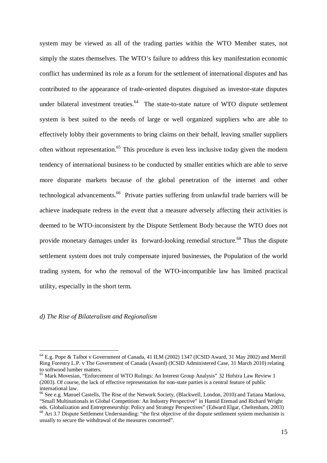system may be viewed as all of the trading parties within the WTO Member states, not simply the states themselves. The WTO's failure to address this key manifestation economic conflict has undermined its role as a forum for the settlement of international disputes and has contributed to the appearance of trade-oriented disputes disguised as investor-state disputes under bilateral investment treaties.<sup>64</sup> The state-to-state nature of WTO dispute settlement system is best suited to the needs of large or well organized suppliers who are able to effectively lobby their governments to bring claims on their behalf, leaving smaller suppliers often without representation.<sup>65</sup> This procedure is even less inclusive today given the modern tendency of international business to be conducted by smaller entities which are able to serve more disparate markets because of the global penetration of the internet and other technological advancements.<sup>66</sup> Private parties suffering from unlawful trade barriers will be achieve inadequate redress in the event that a measure adversely affecting their activities is deemed to be WTO-inconsistent by the Dispute Settlement Body because the WTO does not provide monetary damages under its forward-looking remedial structure.<sup>68</sup> Thus the dispute settlement system does not truly compensate injured businesses, the Population of the world trading system, for who the removal of the WTO-incompatible law has limited practical utility, especially in the short term.

*d) The Rise of Bilateralism and Regionalism*

<sup>64</sup> E.g. Pope & Talbot v Government of Canada, 41 ILM (2002) 1347 (ICSID Award, 31 May 2002) and Merrill Ring Forestry L.P. v The Government of Canada (Award) (ICSID Administered Case, 31 March 2010) relating to softwood lumber matters.

<sup>65</sup> Mark Movesian, "Enforcement of WTO Rulings: An Interest Group Analysis" 32 Hofstra Law Review 1 (2003). Of course, the lack of effective representation for non-state parties is a central feature of public international law.

<sup>66</sup> See e.g. Manuel Castells, The Rise of the Network Society, (Blackwell, London, 2010) and Tatiana Manlova, "Small Multinationals in Global Competition: An Industry Perspective" in Hamid Etemad and Richard Wright eds. Globalization and Entrepreneurship: Policy and Strategy Perspectives" (Edward Elgar, Cheltenham, 2003)

<sup>&</sup>lt;sup>68</sup> Art 3.7 Dispute Settlement Understanding: "the first objective of the dispute settlement system mechanism is usually to secure the withdrawal of the measures concerned".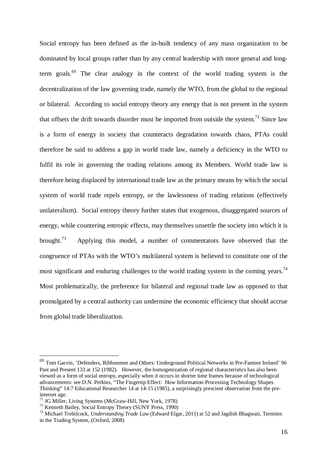Social entropy has been defined as the in-built tendency of any mass organization to be dominated by local groups rather than by any central leadership with more general and longterm goals.<sup>69</sup> The clear analogy in the context of the world trading system is the decentralization of the law governing trade, namely the WTO, from the global to the regional or bilateral. According to social entropy theory any energy that is not present in the system that offsets the drift towards disorder must be imported from outside the system.<sup>71</sup> Since law is a form of energy in society that counteracts degradation towards chaos, PTAs could therefore be said to address a gap in world trade law, namely a deficiency in the WTO to fulfil its role in governing the trading relations among its Members. World trade law is therefore being displaced by international trade law as the primary means by which the social system of world trade repels entropy, or the lawlessness of trading relations (effectively unilateralism). Social entropy theory further states that exogenous, disaggregated sources of energy, while countering entropic effects, may themselves unsettle the society into which it is brought.<sup>73</sup> Applying this model, a number of commentators have observed that the congruence of PTAs with the WTO's multilateral system is believed to constitute one of the most significant and enduring challenges to the world trading system in the coming years.<sup>74</sup> Most problematically, the preference for bilateral and regional trade law as opposed to that promulgated by a central authority can undermine the economic efficiency that should accrue from global trade liberalization.

<sup>&</sup>lt;sup>69</sup> Tom Garvin, 'Defenders, Ribbonmen and Others: Underground Political Networks in Pre-Famine Ireland' 96 Past and Present 133 at 152 (1982). However, the homogenization of regional characteristics has also been viewed as a form of social entropy, especially when it occurs in shorter time frames because of technological advancements: see D.N. Perkins, "The Fingertip Effect: How Information-Processing Technology Shapes Thinking" 14:7 Educational Researcher 14 at 14-15 (1985), a surprisingly prescient observation from the preinternet age.

<sup>71</sup> JG Miller, Living Systems (McGraw-Hill, New York, 1978)

<sup>73</sup> Kenneth Bailey, Social Entropy Theory (SUNY Press, 1990)

<sup>74</sup> Michael Trebilcock, *Understanding Trade Law* (Edward Elgar, 2011) at 52 and Jagdish Bhagwati, Termites in the Trading System, (Oxford, 2008)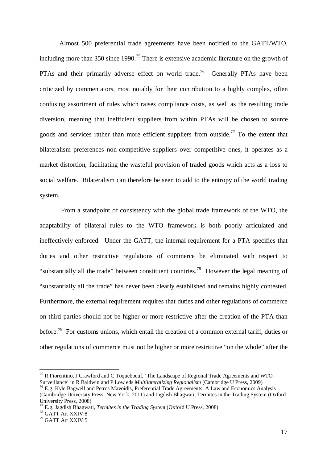Almost 500 preferential trade agreements have been notified to the GATT/WTO, including more than 350 since 1990.<sup>75</sup> There is extensive academic literature on the growth of PTAs and their primarily adverse effect on world trade.<sup>76</sup> Generally PTAs have been criticized by commentators, most notably for their contribution to a highly complex, often confusing assortment of rules which raises compliance costs, as well as the resulting trade diversion, meaning that inefficient suppliers from within PTAs will be chosen to source goods and services rather than more efficient suppliers from outside.<sup>77</sup> To the extent that bilateralism preferences non-competitive suppliers over competitive ones, it operates as a market distortion, facilitating the wasteful provision of traded goods which acts as a loss to social welfare. Bilateralism can therefore be seen to add to the entropy of the world trading system.

From a standpoint of consistency with the global trade framework of the WTO, the adaptability of bilateral rules to the WTO framework is both poorly articulated and ineffectively enforced. Under the GATT, the internal requirement for a PTA specifies that duties and other restrictive regulations of commerce be eliminated with respect to "substantially all the trade" between constituent countries.<sup>78</sup> However the legal meaning of "substantially all the trade" has never been clearly established and remains highly contested. Furthermore, the external requirement requires that duties and other regulations of commerce on third parties should not be higher or more restrictive after the creation of the PTA than before.<sup>79</sup> For customs unions, which entail the creation of a common external tariff, duties or other regulations of commerce must not be higher or more restrictive "on the whole" after the

<sup>&</sup>lt;sup>75</sup> R Fiorentino, J Crawford and C Toqueboeuf, 'The Landscape of Regional Trade Agreements and WTO Surveillance' in R Baldwin and P Low eds *Multilateralizing Regionalism* (Cambridge U Press, 2009) <sup>76</sup> E.g. Kyle Bagwell and Petros Mavoidis, Preferential Trade Agreements: A Law and Economics Analysis

<sup>(</sup>Cambridge University Press, New York, 2011) and Jagdish Bhagwati, Termites in the Trading System (Oxford University Press, 2008)

<sup>77</sup> E.g. Jagdish Bhagwati, *Termites in the Trading System* (Oxford U Press, 2008)

<sup>78</sup> GATT Art XXIV:8

<sup>79</sup> GATT Art XXIV:5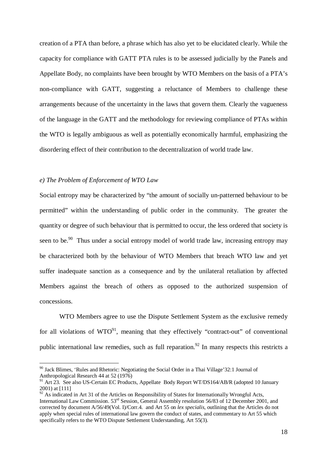creation of a PTA than before, a phrase which has also yet to be elucidated clearly. While the capacity for compliance with GATT PTA rules is to be assessed judicially by the Panels and Appellate Body, no complaints have been brought by WTO Members on the basis of a PTA's non-compliance with GATT, suggesting a reluctance of Members to challenge these arrangements because of the uncertainty in the laws that govern them. Clearly the vagueness of the language in the GATT and the methodology for reviewing compliance of PTAs within the WTO is legally ambiguous as well as potentially economically harmful, emphasizing the disordering effect of their contribution to the decentralization of world trade law.

#### *e) The Problem of Enforcement of WTO Law*

 $\overline{a}$ 

Social entropy may be characterized by "the amount of socially un-patterned behaviour to be permitted" within the understanding of public order in the community. The greater the quantity or degree of such behaviour that is permitted to occur, the less ordered that society is seen to be.<sup>90</sup> Thus under a social entropy model of world trade law, increasing entropy may be characterized both by the behaviour of WTO Members that breach WTO law and yet suffer inadequate sanction as a consequence and by the unilateral retaliation by affected Members against the breach of others as opposed to the authorized suspension of concessions.

WTO Members agree to use the Dispute Settlement System as the exclusive remedy for all violations of  $WTO^{91}$ , meaning that they effectively "contract-out" of conventional public international law remedies, such as full reparation.<sup>92</sup> In many respects this restricts a

<sup>&</sup>lt;sup>90</sup> Jack Blimes, 'Rules and Rhetoric: Negotiating the Social Order in a Thai Village'32:1 Journal of Anthropological Research 44 at 52 (1976)

<sup>&</sup>lt;sup>91</sup> Art 23. See also US-Certain EC Products, Appellate Body Report WT/DS164/AB/R (adopted 10 January 2001) at [111]

<sup>&</sup>lt;sup>92</sup> As indicated in Art 31 of the Articles on Responsibility of States for Internationally Wrongful Acts, International Law Commission. 53rd Session, General Assembly resolution 56/83 of 12 December 2001, and corrected by document A/56/49(Vol. I)/Corr.4. and Art 55 on *lex specialis*, outlining that the Articles do not apply when special rules of international law govern the conduct of states, and commentary to Art 55 which specifically refers to the WTO Dispute Settlement Understanding, Art 55(3).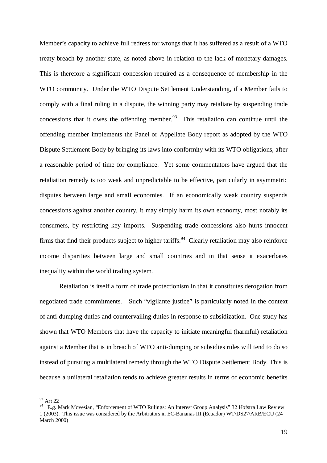Member's capacity to achieve full redress for wrongs that it has suffered as a result of a WTO treaty breach by another state, as noted above in relation to the lack of monetary damages. This is therefore a significant concession required as a consequence of membership in the WTO community. Under the WTO Dispute Settlement Understanding, if a Member fails to comply with a final ruling in a dispute, the winning party may retaliate by suspending trade concessions that it owes the offending member. $93$  This retaliation can continue until the offending member implements the Panel or Appellate Body report as adopted by the WTO Dispute Settlement Body by bringing its laws into conformity with its WTO obligations, after a reasonable period of time for compliance. Yet some commentators have argued that the retaliation remedy is too weak and unpredictable to be effective, particularly in asymmetric disputes between large and small economies. If an economically weak country suspends concessions against another country, it may simply harm its own economy, most notably its consumers, by restricting key imports. Suspending trade concessions also hurts innocent firms that find their products subject to higher tariffs.<sup>94</sup> Clearly retaliation may also reinforce income disparities between large and small countries and in that sense it exacerbates inequality within the world trading system.

Retaliation is itself a form of trade protectionism in that it constitutes derogation from negotiated trade commitments. Such "vigilante justice" is particularly noted in the context of anti-dumping duties and countervailing duties in response to subsidization. One study has shown that WTO Members that have the capacity to initiate meaningful (harmful) retaliation against a Member that is in breach of WTO anti-dumping or subsidies rules will tend to do so instead of pursuing a multilateral remedy through the WTO Dispute Settlement Body. This is because a unilateral retaliation tends to achieve greater results in terms of economic benefits

<sup>&</sup>lt;sup>93</sup> Art 22

<sup>&</sup>lt;sup>94</sup> E.g. Mark Movesian, "Enforcement of WTO Rulings: An Interest Group Analysis" 32 Hofstra Law Review 1 (2003). This issue was considered by the Arbitrators in EC-Bananas III (Ecuador) WT/DS27/ARB/ECU (24 March 2000)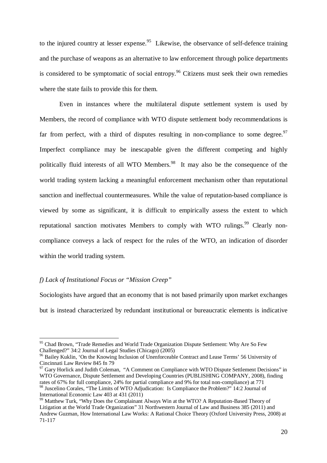to the injured country at lesser expense.<sup>95</sup> Likewise, the observance of self-defence training and the purchase of weapons as an alternative to law enforcement through police departments is considered to be symptomatic of social entropy.<sup>96</sup> Citizens must seek their own remedies where the state fails to provide this for them.

Even in instances where the multilateral dispute settlement system is used by Members, the record of compliance with WTO dispute settlement body recommendations is far from perfect, with a third of disputes resulting in non-compliance to some degree.<sup>97</sup> Imperfect compliance may be inescapable given the different competing and highly politically fluid interests of all WTO Members.<sup>98</sup> It may also be the consequence of the world trading system lacking a meaningful enforcement mechanism other than reputational sanction and ineffectual countermeasures. While the value of reputation-based compliance is viewed by some as significant, it is difficult to empirically assess the extent to which reputational sanction motivates Members to comply with WTO rulings.<sup>99</sup> Clearly noncompliance conveys a lack of respect for the rules of the WTO, an indication of disorder within the world trading system.

#### *f) Lack of Institutional Focus or "Mission Creep"*

 $\overline{a}$ 

Sociologists have argued that an economy that is not based primarily upon market exchanges but is instead characterized by redundant institutional or bureaucratic elements is indicative

<sup>&</sup>lt;sup>95</sup> Chad Brown, "Trade Remedies and World Trade Organization Dispute Settlement: Why Are So Few Challenged?" 34:2 Journal of Legal Studies (Chicago) (2005)

<sup>&</sup>lt;sup>96</sup> Bailey Kuklin, 'On the Knowing Inclusion of Unenforceable Contract and Lease Terms' 56 University of Cincinnati Law Review 845 fn 79

<sup>&</sup>lt;sup>97</sup> Gary Horlick and Judith Coleman, "A Comment on Compliance with WTO Dispute Settlement Decisions" in WTO Governance, Dispute Settlement and Developing Countries (PUBLISHING COMPANY, 2008), finding rates of 67% for full compliance, 24% for partial compliance and 9% for total non-compliance) at 771 <sup>98</sup> Juscelino Corales, "The Limits of WTO Adjudication: Is Compliance the Problem?" 14:2 Journal of International Economic Law 403 at 431 (2011)

 $99$  Matthew Turk, "Why Does the Complainant Always Win at the WTO? A Reputation-Based Theory of Litigation at the World Trade Organization" 31 Northwestern Journal of Law and Business 385 (2011) and Andrew Guzman, How International Law Works: A Rational Choice Theory (Oxford University Press, 2008) at 71-117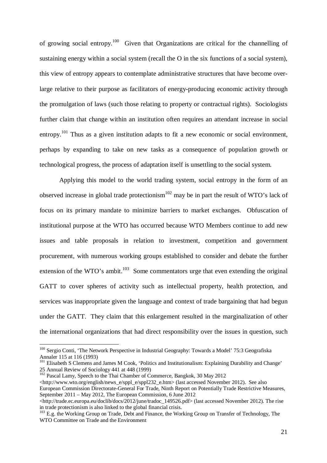of growing social entropy.<sup>100</sup> Given that Organizations are critical for the channelling of sustaining energy within a social system (recall the O in the six functions of a social system), this view of entropy appears to contemplate administrative structures that have become overlarge relative to their purpose as facilitators of energy-producing economic activity through the promulgation of laws (such those relating to property or contractual rights). Sociologists further claim that change within an institution often requires an attendant increase in social entropy.<sup>101</sup> Thus as a given institution adapts to fit a new economic or social environment, perhaps by expanding to take on new tasks as a consequence of population growth or technological progress, the process of adaptation itself is unsettling to the social system.

Applying this model to the world trading system, social entropy in the form of an observed increase in global trade protectionism<sup>102</sup> may be in part the result of WTO's lack of focus on its primary mandate to minimize barriers to market exchanges. Obfuscation of institutional purpose at the WTO has occurred because WTO Members continue to add new issues and table proposals in relation to investment, competition and government procurement, with numerous working groups established to consider and debate the further extension of the WTO's ambit. $103$  Some commentators urge that even extending the original GATT to cover spheres of activity such as intellectual property, health protection, and services was inappropriate given the language and context of trade bargaining that had begun under the GATT. They claim that this enlargement resulted in the marginalization of other the international organizations that had direct responsibility over the issues in question, such

<sup>&</sup>lt;sup>100</sup> Sergio Conti, 'The Network Perspective in Industrial Geography: Towards a Model' 75:3 Geografiska Annaler 115 at 116 (1993)

<sup>&</sup>lt;sup>101</sup> Elisabeth S Clemens and James M Cook, 'Politics and Institutionalism: Explaining Durability and Change' 25 Annual Review of Sociology 441 at 448 (1999)

<sup>&</sup>lt;sup>102</sup> Pascal Lamy, Speech to the Thai Chamber of Commerce, Bangkok, 30 May 2012 <http://www.wto.org/english/news\_e/sppl\_e/sppl232\_e.htm> (last accessed November 2012). See also European Commission Directorate-General For Trade, Ninth Report on Potentially Trade Restrictive Measures, September 2011 – May 2012, The European Commission, 6 June 2012

<sup>&</sup>lt;http://trade.ec.europa.eu/doclib/docs/2012/june/tradoc\_149526.pdf> (last accessed November 2012). The rise in trade protectionism is also linked to the global financial crisis.

<sup>&</sup>lt;sup>103</sup> E.g. the Working Group on Trade, Debt and Finance, the Working Group on Transfer of Technology, The WTO Committee on Trade and the Environment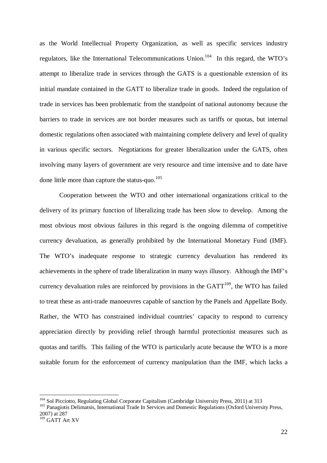as the World Intellectual Property Organization, as well as specific services industry regulators, like the International Telecommunications Union.<sup>104</sup> In this regard, the WTO's attempt to liberalize trade in services through the GATS is a questionable extension of its initial mandate contained in the GATT to liberalize trade in goods. Indeed the regulation of trade in services has been problematic from the standpoint of national autonomy because the barriers to trade in services are not border measures such as tariffs or quotas, but internal domestic regulations often associated with maintaining complete delivery and level of quality in various specific sectors. Negotiations for greater liberalization under the GATS, often involving many layers of government are very resource and time intensive and to date have done little more than capture the status-quo. $105$ 

Cooperation between the WTO and other international organizations critical to the delivery of its primary function of liberalizing trade has been slow to develop. Among the most obvious most obvious failures in this regard is the ongoing dilemma of competitive currency devaluation, as generally prohibited by the International Monetary Fund (IMF). The WTO's inadequate response to strategic currency devaluation has rendered its achievements in the sphere of trade liberalization in many ways illusory. Although the IMF's currency devaluation rules are reinforced by provisions in the  $GATT^{109}$ , the WTO has failed to treat these as anti-trade manoeuvres capable of sanction by the Panels and Appellate Body. Rather, the WTO has constrained individual countries' capacity to respond to currency appreciation directly by providing relief through harmful protectionist measures such as quotas and tariffs. This failing of the WTO is particularly acute because the WTO is a more suitable forum for the enforcement of currency manipulation than the IMF, which lacks a

<sup>&</sup>lt;sup>104</sup> Sol Picciotto, Regulating Global Corporate Capitalism (Cambridge University Press, 2011) at 313

<sup>&</sup>lt;sup>105</sup> Panagiotis Delimatsis, International Trade In Services and Domestic Regulations (Oxford University Press, 2007) at 287

<sup>&</sup>lt;sup>109</sup> GATT Art XV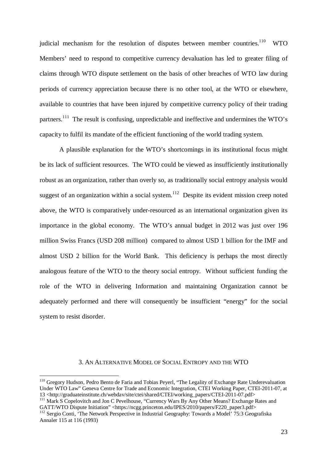judicial mechanism for the resolution of disputes between member countries.<sup>110</sup> WTO Members' need to respond to competitive currency devaluation has led to greater filing of claims through WTO dispute settlement on the basis of other breaches of WTO law during periods of currency appreciation because there is no other tool, at the WTO or elsewhere, available to countries that have been injured by competitive currency policy of their trading partners.<sup>111</sup> The result is confusing, unpredictable and ineffective and undermines the WTO's capacity to fulfil its mandate of the efficient functioning of the world trading system.

A plausible explanation for the WTO's shortcomings in its institutional focus might be its lack of sufficient resources. The WTO could be viewed as insufficiently institutionally robust as an organization, rather than overly so, as traditionally social entropy analysis would suggest of an organization within a social system.<sup>112</sup> Despite its evident mission creep noted above, the WTO is comparatively under-resourced as an international organization given its importance in the global economy. The WTO's annual budget in 2012 was just over 196 million Swiss Francs (USD 208 million) compared to almost USD 1 billion for the IMF and almost USD 2 billion for the World Bank. This deficiency is perhaps the most directly analogous feature of the WTO to the theory social entropy. Without sufficient funding the role of the WTO in delivering Information and maintaining Organization cannot be adequately performed and there will consequently be insufficient "energy" for the social system to resist disorder.

#### 3. AN ALTERNATIVE MODEL OF SOCIAL ENTROPY AND THE WTO

<sup>110</sup> Gregory Hudson, Pedro Bento de Faria and Tobias Peyerl, "The Legality of Exchange Rate Underevaluation Under WTO Law" Geneva Centre for Trade and Economic Integration, CTEI Working Paper, CTEI-2011-07, at 13 <http://graduateinstitute.ch/webdav/site/ctei/shared/CTEI/working\_papers/CTEI-2011-07.pdf>

<sup>&</sup>lt;sup>111</sup> Mark S Copelovitch and Jon C Pevelhouse, "Currency Wars By Any Other Means? Exchange Rates and GATT/WTO Dispute Initiation" <https://ncgg.princeton.edu/IPES/2010/papers/F220\_paper3.pdf>

<sup>&</sup>lt;sup>112</sup> Sergio Conti, 'The Network Perspective in Industrial Geography: Towards a Model' 75:3 Geografiska Annaler 115 at 116 (1993)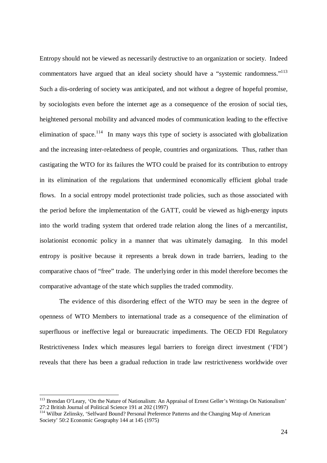Entropy should not be viewed as necessarily destructive to an organization or society. Indeed commentators have argued that an ideal society should have a "systemic randomness."<sup>113</sup> Such a dis-ordering of society was anticipated, and not without a degree of hopeful promise, by sociologists even before the internet age as a consequence of the erosion of social ties, heightened personal mobility and advanced modes of communication leading to the effective elimination of space.<sup>114</sup> In many ways this type of society is associated with globalization and the increasing inter-relatedness of people, countries and organizations. Thus, rather than castigating the WTO for its failures the WTO could be praised for its contribution to entropy in its elimination of the regulations that undermined economically efficient global trade flows. In a social entropy model protectionist trade policies, such as those associated with the period before the implementation of the GATT, could be viewed as high-energy inputs into the world trading system that ordered trade relation along the lines of a mercantilist, isolationist economic policy in a manner that was ultimately damaging. In this model entropy is positive because it represents a break down in trade barriers, leading to the comparative chaos of "free" trade. The underlying order in this model therefore becomes the comparative advantage of the state which supplies the traded commodity.

The evidence of this disordering effect of the WTO may be seen in the degree of openness of WTO Members to international trade as a consequence of the elimination of superfluous or ineffective legal or bureaucratic impediments. The OECD FDI Regulatory Restrictiveness Index which measures legal barriers to foreign direct investment ('FDI') reveals that there has been a gradual reduction in trade law restrictiveness worldwide over

<sup>&</sup>lt;sup>113</sup> Brendan O'Leary, 'On the Nature of Nationalism: An Appraisal of Ernest Geller's Writings On Nationalism' 27:2 British Journal of Political Science 191 at 202 (1997)

<sup>&</sup>lt;sup>114</sup> Wilbur Zelinsky, 'Selfward Bound? Personal Preference Patterns and the Changing Map of American Society' 50:2 Economic Geography 144 at 145 (1975)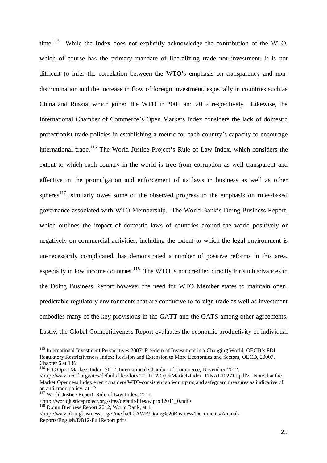time.<sup>115</sup> While the Index does not explicitly acknowledge the contribution of the WTO, which of course has the primary mandate of liberalizing trade not investment, it is not difficult to infer the correlation between the WTO's emphasis on transparency and nondiscrimination and the increase in flow of foreign investment, especially in countries such as China and Russia, which joined the WTO in 2001 and 2012 respectively. Likewise, the International Chamber of Commerce's Open Markets Index considers the lack of domestic protectionist trade policies in establishing a metric for each country's capacity to encourage international trade.<sup>116</sup> The World Justice Project's Rule of Law Index, which considers the extent to which each country in the world is free from corruption as well transparent and effective in the promulgation and enforcement of its laws in business as well as other spheres<sup>117</sup>, similarly owes some of the observed progress to the emphasis on rules-based governance associated with WTO Membership. The World Bank's Doing Business Report, which outlines the impact of domestic laws of countries around the world positively or negatively on commercial activities, including the extent to which the legal environment is un-necessarily complicated, has demonstrated a number of positive reforms in this area, especially in low income countries.<sup>118</sup> The WTO is not credited directly for such advances in the Doing Business Report however the need for WTO Member states to maintain open, predictable regulatory environments that are conducive to foreign trade as well as investment embodies many of the key provisions in the GATT and the GATS among other agreements. Lastly, the Global Competitiveness Report evaluates the economic productivity of individual

<sup>115</sup> International Investment Perspectives 2007: Freedom of Investment in a Changing World: OECD's FDI Regulatory Restrictiveness Index: Revision and Extension to More Economies and Sectors, OECD, 20007, Chapter 6 at 136

<sup>&</sup>lt;sup>116</sup> ICC Open Markets Index, 2012, International Chamber of Commerce, November 2012,

<sup>&</sup>lt;http://www.iccrf.org/sites/default/files/docs/2011/12/OpenMarketsIndex\_FINAL102711.pdf>. Note that the Market Openness Index even considers WTO-consistent anti-dumping and safeguard measures as indicative of an anti-trade policy: at 12

<sup>&</sup>lt;sup>117</sup> World Justice Report, Rule of Law Index, 2011

<sup>&</sup>lt;http://worldjusticeproject.org/sites/default/files/wjproli2011\_0.pdf>

 $^{118}$  Doing Business Report 2012, World Bank, at 1,

<sup>&</sup>lt;http://www.doingbusiness.org/~/media/GIAWB/Doing%20Business/Documents/Annual-Reports/English/DB12-FullReport.pdf>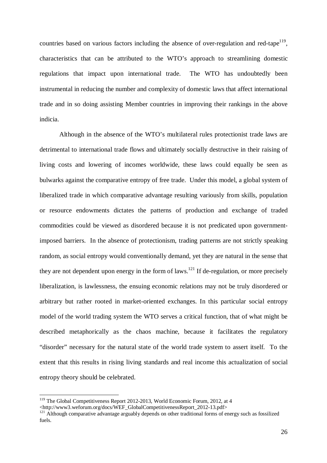countries based on various factors including the absence of over-regulation and red-tape<sup>119</sup>, characteristics that can be attributed to the WTO's approach to streamlining domestic regulations that impact upon international trade. The WTO has undoubtedly been instrumental in reducing the number and complexity of domestic laws that affect international trade and in so doing assisting Member countries in improving their rankings in the above indicia.

Although in the absence of the WTO's multilateral rules protectionist trade laws are detrimental to international trade flows and ultimately socially destructive in their raising of living costs and lowering of incomes worldwide, these laws could equally be seen as bulwarks against the comparative entropy of free trade. Under this model, a global system of liberalized trade in which comparative advantage resulting variously from skills, population or resource endowments dictates the patterns of production and exchange of traded commodities could be viewed as disordered because it is not predicated upon governmentimposed barriers. In the absence of protectionism, trading patterns are not strictly speaking random, as social entropy would conventionally demand, yet they are natural in the sense that they are not dependent upon energy in the form of laws.<sup>121</sup> If de-regulation, or more precisely liberalization, is lawlessness, the ensuing economic relations may not be truly disordered or arbitrary but rather rooted in market-oriented exchanges. In this particular social entropy model of the world trading system the WTO serves a critical function, that of what might be described metaphorically as the chaos machine, because it facilitates the regulatory "disorder" necessary for the natural state of the world trade system to assert itself. To the extent that this results in rising living standards and real income this actualization of social entropy theory should be celebrated.

<sup>&</sup>lt;sup>119</sup> The Global Competitiveness Report 2012-2013, World Economic Forum, 2012, at 4

<sup>&</sup>lt;http://www3.weforum.org/docs/WEF\_GlobalCompetitivenessReport\_2012-13.pdf>

<sup>&</sup>lt;sup>121</sup> Although comparative advantage arguably depends on other traditional forms of energy such as fossilized fuels.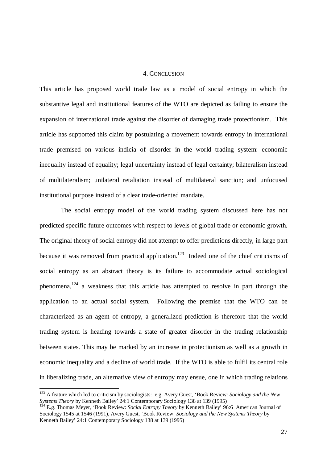#### 4. CONCLUSION

This article has proposed world trade law as a model of social entropy in which the substantive legal and institutional features of the WTO are depicted as failing to ensure the expansion of international trade against the disorder of damaging trade protectionism. This article has supported this claim by postulating a movement towards entropy in international trade premised on various indicia of disorder in the world trading system: economic inequality instead of equality; legal uncertainty instead of legal certainty; bilateralism instead of multilateralism; unilateral retaliation instead of multilateral sanction; and unfocused institutional purpose instead of a clear trade-oriented mandate.

The social entropy model of the world trading system discussed here has not predicted specific future outcomes with respect to levels of global trade or economic growth. The original theory of social entropy did not attempt to offer predictions directly, in large part because it was removed from practical application.<sup>123</sup> Indeed one of the chief criticisms of social entropy as an abstract theory is its failure to accommodate actual sociological phenomena,  $124$  a weakness that this article has attempted to resolve in part through the application to an actual social system. Following the premise that the WTO can be characterized as an agent of entropy, a generalized prediction is therefore that the world trading system is heading towards a state of greater disorder in the trading relationship between states. This may be marked by an increase in protectionism as well as a growth in economic inequality and a decline of world trade. If the WTO is able to fulfil its central role in liberalizing trade, an alternative view of entropy may ensue, one in which trading relations

<sup>123</sup> A feature which led to criticism by sociologists: e.g. Avery Guest, 'Book Review: *Sociology and the New Systems Theory* by Kenneth Bailey' 24:1 Contemporary Sociology 138 at 139 (1995)

<sup>&</sup>lt;sup>124</sup> E.g. Thomas Meyer, 'Book Review: *Social Entropy Theory* by Kenneth Bailey' 96:6 American Journal of Sociology 1545 at 1546 (1991), Avery Guest, 'Book Review: *Sociology and the New Systems Theory* by Kenneth Bailey' 24:1 Contemporary Sociology 138 at 139 (1995)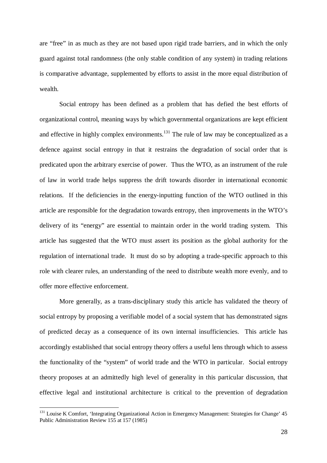are "free" in as much as they are not based upon rigid trade barriers, and in which the only guard against total randomness (the only stable condition of any system) in trading relations is comparative advantage, supplemented by efforts to assist in the more equal distribution of wealth.

Social entropy has been defined as a problem that has defied the best efforts of organizational control, meaning ways by which governmental organizations are kept efficient and effective in highly complex environments.<sup>131</sup> The rule of law may be conceptualized as a defence against social entropy in that it restrains the degradation of social order that is predicated upon the arbitrary exercise of power. Thus the WTO, as an instrument of the rule of law in world trade helps suppress the drift towards disorder in international economic relations. If the deficiencies in the energy-inputting function of the WTO outlined in this article are responsible for the degradation towards entropy, then improvements in the WTO's delivery of its "energy" are essential to maintain order in the world trading system. This article has suggested that the WTO must assert its position as the global authority for the regulation of international trade. It must do so by adopting a trade-specific approach to this role with clearer rules, an understanding of the need to distribute wealth more evenly, and to offer more effective enforcement.

More generally, as a trans-disciplinary study this article has validated the theory of social entropy by proposing a verifiable model of a social system that has demonstrated signs of predicted decay as a consequence of its own internal insufficiencies. This article has accordingly established that social entropy theory offers a useful lens through which to assess the functionality of the "system" of world trade and the WTO in particular. Social entropy theory proposes at an admittedly high level of generality in this particular discussion, that effective legal and institutional architecture is critical to the prevention of degradation

<sup>&</sup>lt;sup>131</sup> Louise K Comfort, 'Integrating Organizational Action in Emergency Management: Strategies for Change' 45 Public Administration Review 155 at 157 (1985)